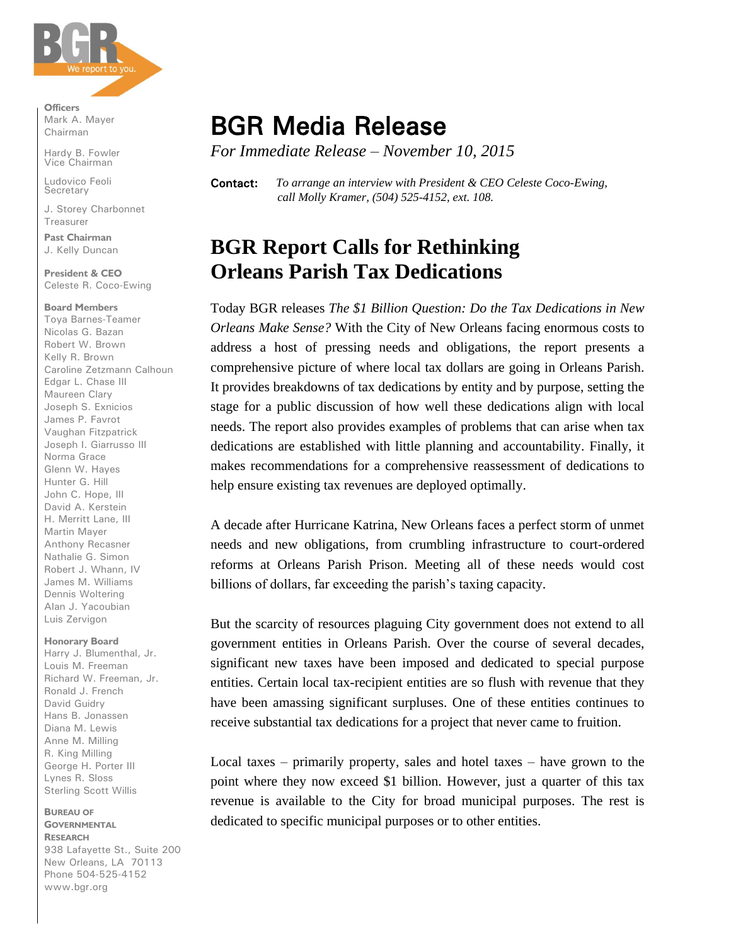

**Officers** Mark A. Mayer Chairman

Hardy B. Fowler Vice Chairman

Ludovico Feoli Secretary

J. Storey Charbonnet Treasurer

**Past Chairman** J. Kelly Duncan

**President & CEO** Celeste R. Coco-Ewing

#### **Board Members**

Toya Barnes-Teamer Nicolas G. Bazan Robert W. Brown Kelly R. Brown Caroline Zetzmann Calhoun Edgar L. Chase III Maureen Clary Joseph S. Exnicios James P. Favrot Vaughan Fitzpatrick Joseph I. Giarrusso III Norma Grace Glenn W. Hayes Hunter G. Hill John C. Hope, III David A. Kerstein H. Merritt Lane, III Martin Mayer Anthony Recasner Nathalie G. Simon Robert J. Whann, IV James M. Williams Dennis Woltering Alan J. Yacoubian Luis Zervigon

### **Honorary Board**

Harry J. Blumenthal, Jr. Louis M. Freeman Richard W. Freeman, Jr. Ronald J. French David Guidry Hans B. Jonassen Diana M. Lewis Anne M. Milling R. King Milling George H. Porter III Lynes R. Sloss Sterling Scott Willis

**BUREAU OF GOVERNMENTAL RESEARCH** 938 Lafayette St., Suite 200 New Orleans, LA 70113 Phone 504-525-4152 www.bgr.org

# BGR Media Release

*For Immediate Release – November 10, 2015*

Contact: *To arrange an interview with President & CEO Celeste Coco-Ewing, call Molly Kramer, (504) 525-4152, ext. 108.*

## **BGR Report Calls for Rethinking Orleans Parish Tax Dedications**

Today BGR releases *The \$1 Billion Question: Do the Tax Dedications in New Orleans Make Sense?* With the City of New Orleans facing enormous costs to address a host of pressing needs and obligations, the report presents a comprehensive picture of where local tax dollars are going in Orleans Parish. It provides breakdowns of tax dedications by entity and by purpose, setting the stage for a public discussion of how well these dedications align with local needs. The report also provides examples of problems that can arise when tax dedications are established with little planning and accountability. Finally, it makes recommendations for a comprehensive reassessment of dedications to help ensure existing tax revenues are deployed optimally.

A decade after Hurricane Katrina, New Orleans faces a perfect storm of unmet needs and new obligations, from crumbling infrastructure to court-ordered reforms at Orleans Parish Prison. Meeting all of these needs would cost billions of dollars, far exceeding the parish's taxing capacity.

But the scarcity of resources plaguing City government does not extend to all government entities in Orleans Parish. Over the course of several decades, significant new taxes have been imposed and dedicated to special purpose entities. Certain local tax-recipient entities are so flush with revenue that they have been amassing significant surpluses. One of these entities continues to receive substantial tax dedications for a project that never came to fruition.

Local taxes – primarily property, sales and hotel taxes – have grown to the point where they now exceed \$1 billion. However, just a quarter of this tax revenue is available to the City for broad municipal purposes. The rest is dedicated to specific municipal purposes or to other entities.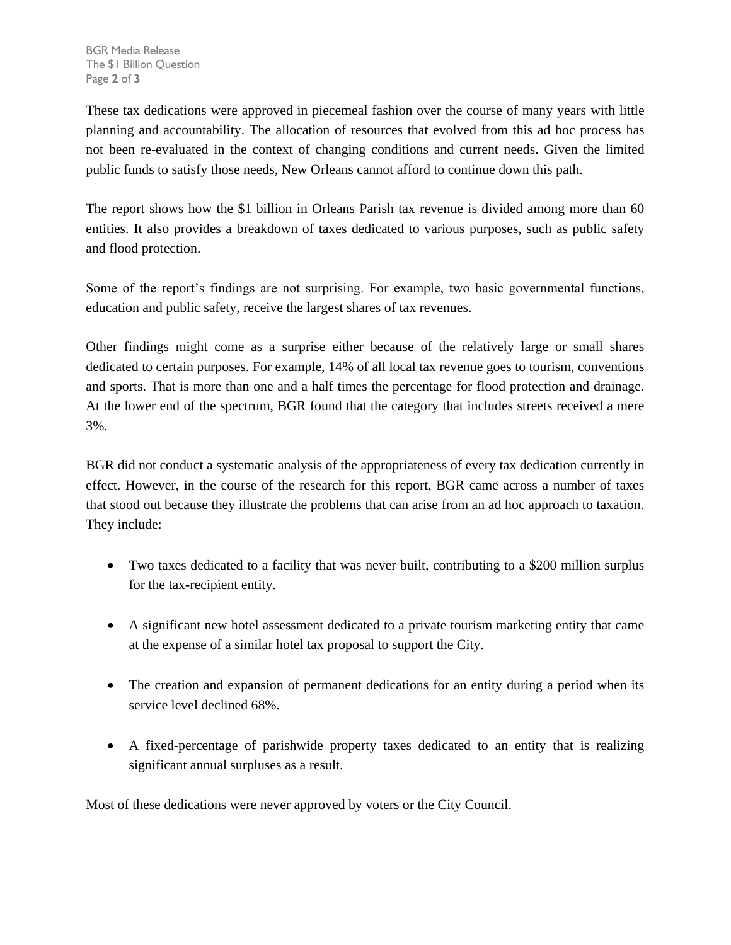These tax dedications were approved in piecemeal fashion over the course of many years with little planning and accountability. The allocation of resources that evolved from this ad hoc process has not been re-evaluated in the context of changing conditions and current needs. Given the limited public funds to satisfy those needs, New Orleans cannot afford to continue down this path.

The report shows how the \$1 billion in Orleans Parish tax revenue is divided among more than 60 entities. It also provides a breakdown of taxes dedicated to various purposes, such as public safety and flood protection.

Some of the report's findings are not surprising. For example, two basic governmental functions, education and public safety, receive the largest shares of tax revenues.

Other findings might come as a surprise either because of the relatively large or small shares dedicated to certain purposes. For example, 14% of all local tax revenue goes to tourism, conventions and sports. That is more than one and a half times the percentage for flood protection and drainage. At the lower end of the spectrum, BGR found that the category that includes streets received a mere 3%.

BGR did not conduct a systematic analysis of the appropriateness of every tax dedication currently in effect. However, in the course of the research for this report, BGR came across a number of taxes that stood out because they illustrate the problems that can arise from an ad hoc approach to taxation. They include:

- Two taxes dedicated to a facility that was never built, contributing to a \$200 million surplus for the tax-recipient entity.
- A significant new hotel assessment dedicated to a private tourism marketing entity that came at the expense of a similar hotel tax proposal to support the City.
- The creation and expansion of permanent dedications for an entity during a period when its service level declined 68%.
- A fixed-percentage of parishwide property taxes dedicated to an entity that is realizing significant annual surpluses as a result.

Most of these dedications were never approved by voters or the City Council.